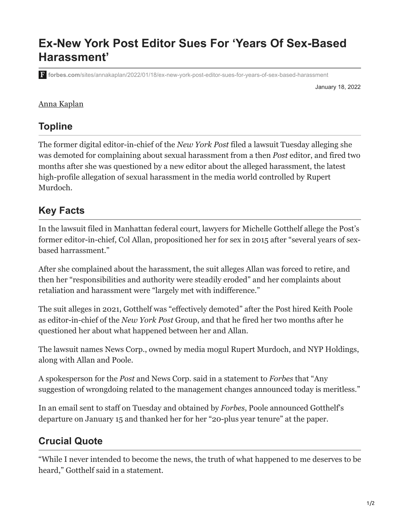# **Ex-New York Post Editor Sues For 'Years Of Sex-Based Harassment'**

**forbes.com**[/sites/annakaplan/2022/01/18/ex-new-york-post-editor-sues-for-years-of-sex-based-harassment](https://www.forbes.com/sites/annakaplan/2022/01/18/ex-new-york-post-editor-sues-for-years-of-sex-based-harassment/?sh=29ea360deafc)

January 18, 2022

#### [Anna Kaplan](https://www.forbes.com/sites/annakaplan-1/)

#### **Topline**

The former digital editor-in-chief of the *New York Post* filed a lawsuit Tuesday alleging she was demoted for complaining about sexual harassment from a then *Post* editor, and fired two months after she was questioned by a new editor about the alleged harassment, the latest high-profile allegation of sexual harassment in the media world controlled by Rupert Murdoch.

### **Key Facts**

In the lawsuit filed in Manhattan federal court, lawyers for Michelle Gotthelf allege the Post's former editor-in-chief, Col Allan, propositioned her for sex in 2015 after "several years of sexbased harrassment."

After she complained about the harassment, the suit alleges Allan was forced to retire, and then her "responsibilities and authority were steadily eroded" and her complaints about retaliation and harassment were "largely met with indifference."

The suit alleges in 2021, Gotthelf was "effectively demoted" after the Post hired Keith Poole as editor-in-chief of the *New York Post* Group, and that he fired her two months after he questioned her about what happened between her and Allan.

The lawsuit names News Corp., owned by media mogul Rupert Murdoch, and NYP Holdings, along with Allan and Poole.

A spokesperson for the *Post* and News Corp. said in a statement to *Forbes* that "Any suggestion of wrongdoing related to the management changes announced today is meritless."

In an email sent to staff on Tuesday and obtained by *Forbes*, Poole announced Gotthelf's departure on January 15 and thanked her for her "20-plus year tenure" at the paper.

# **Crucial Quote**

"While I never intended to become the news, the truth of what happened to me deserves to be heard," Gotthelf said in a statement.